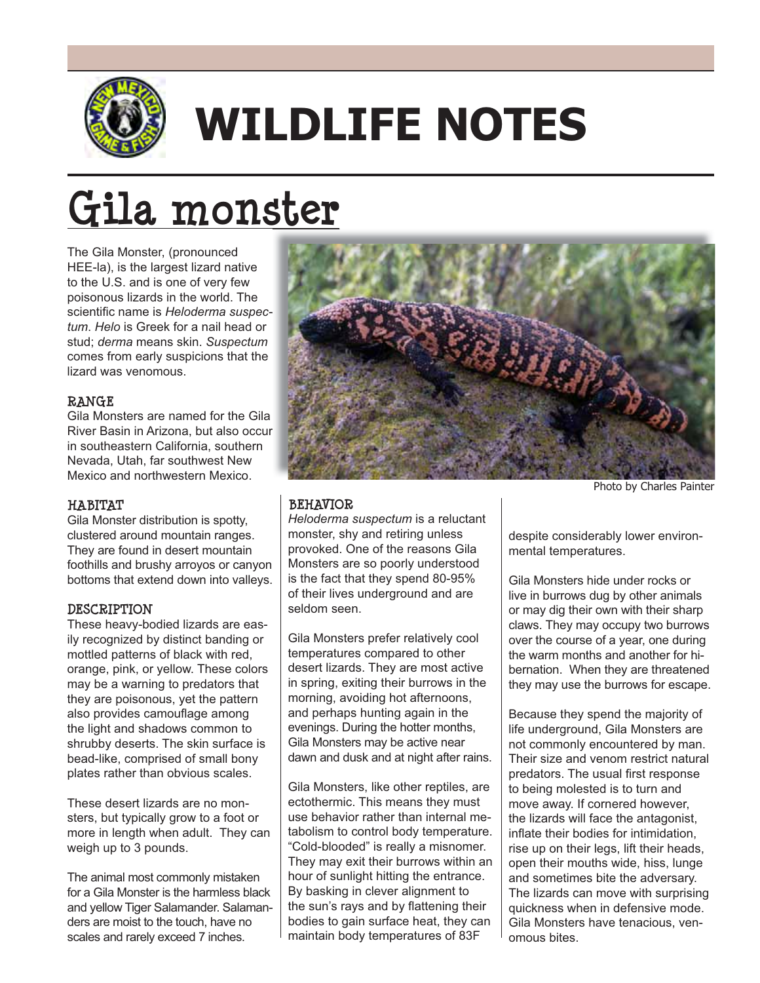

# **WILDLIFE NOTES**

# **Gila monster**

The Gila Monster, (pronounced HEE-la), is the largest lizard native to the U.S. and is one of very few poisonous lizards in the world. The scientific name is Heloderma suspec*tum*. *Helo* is Greek for a nail head or stud; *derma* means skin. Suspectum comes from early suspicions that the lizard was venomous.

### **RANGE**

Gila Monsters are named for the Gila River Basin in Arizona, but also occur in southeastern California, southern Nevada, Utah, far southwest New Mexico and northwestern Mexico.

#### **HABITAT**

Gila Monster distribution is spotty, clustered around mountain ranges. They are found in desert mountain foothills and brushy arroyos or canyon bottoms that extend down into valleys.

#### **DESCRIPTION**

These heavy-bodied lizards are easily recognized by distinct banding or mottled patterns of black with red, orange, pink, or yellow. These colors may be a warning to predators that they are poisonous, yet the pattern also provides camouflage among the light and shadows common to shrubby deserts. The skin surface is bead-like, comprised of small bony plates rather than obvious scales.

These desert lizards are no monsters, but typically grow to a foot or more in length when adult. They can weigh up to 3 pounds.

The animal most commonly mistaken for a Gila Monster is the harmless black and yellow Tiger Salamander. Salamanders are moist to the touch, have no scales and rarely exceed 7 inches.



#### **BEHAVIOR**

*Heloderma suspectum* is a reluctant monster, shy and retiring unless provoked. One of the reasons Gila Monsters are so poorly understood is the fact that they spend 80-95% of their lives underground and are seldom seen

Gila Monsters prefer relatively cool temperatures compared to other desert lizards. They are most active in spring, exiting their burrows in the morning, avoiding hot afternoons, and perhaps hunting again in the evenings. During the hotter months, Gila Monsters may be active near dawn and dusk and at night after rains.

Gila Monsters, like other reptiles, are ectothermic. This means they must use behavior rather than internal metabolism to control body temperature. "Cold-blooded" is really a misnomer. They may exit their burrows within an hour of sunlight hitting the entrance. By basking in clever alignment to the sun's rays and by flattening their bodies to gain surface heat, they can maintain body temperatures of 83F

Photo by Charles Painter

despite considerably lower environmental temperatures.

Gila Monsters hide under rocks or live in burrows dug by other animals or may dig their own with their sharp claws. They may occupy two burrows over the course of a year, one during the warm months and another for hibernation. When they are threatened they may use the burrows for escape.

Because they spend the majority of life underground, Gila Monsters are not commonly encountered by man. Their size and venom restrict natural predators. The usual first response to being molested is to turn and move away. If cornered however, the lizards will face the antagonist, inflate their bodies for intimidation. rise up on their legs, lift their heads, open their mouths wide, hiss, lunge and sometimes bite the adversary. The lizards can move with surprising quickness when in defensive mode. Gila Monsters have tenacious, venomous bites.